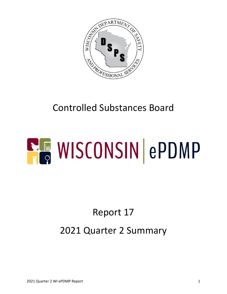

## Controlled Substances Board

# **ELE WISCONSIN ePDMP**

## Report 17 2021 Quarter 2 Summary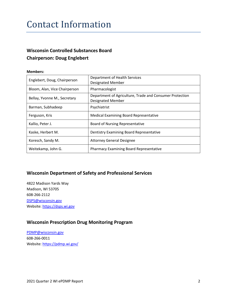#### Contact Information

#### **Wisconsin Controlled Substances Board Chairperson: Doug Englebert**

#### **Members:**

| Englebert, Doug, Chairperson  | Department of Health Services<br><b>Designated Member</b>                            |
|-------------------------------|--------------------------------------------------------------------------------------|
| Bloom, Alan, Vice Chairperson | Pharmacologist                                                                       |
| Bellay, Yvonne M., Secretary  | Department of Agriculture, Trade and Consumer Protection<br><b>Designated Member</b> |
| Barman, Subhadeep             | Psychiatrist                                                                         |
| Ferguson, Kris                | <b>Medical Examining Board Representative</b>                                        |
| Kallio, Peter J.              | <b>Board of Nursing Representative</b>                                               |
| Kaske, Herbert M.             | Dentistry Examining Board Representative                                             |
| Koresch, Sandy M.             | <b>Attorney General Designee</b>                                                     |
| Weitekamp, John G.            | <b>Pharmacy Examining Board Representative</b>                                       |

#### **Wisconsin Department of Safety and Professional Services**

4822 Madison Yards Way Madison, WI 53705 608-266-2112 [DSPS@wisconsin.gov](mailto:DSPS@wisconsin.gov) Website[: https://dsps.wi.gov](https://dsps.wi.gov/)

#### **Wisconsin Prescription Drug Monitoring Program**

[PDMP@wisconsin.gov](mailto:PDMP@wisconsin.gov) 608-266-0011 Website[: https://pdmp.wi.gov/](https://pdmp.wi.gov/)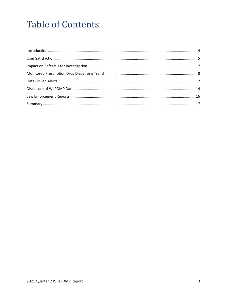## **Table of Contents**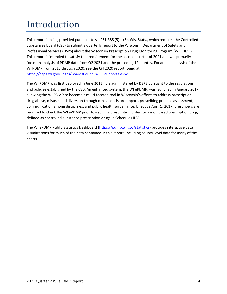## <span id="page-3-0"></span>Introduction

This report is being provided pursuant to ss.  $961.385(5) - (6)$ , Wis. Stats., which requires the Controlled Substances Board (CSB) to submit a quarterly report to the Wisconsin Department of Safety and Professional Services (DSPS) about the Wisconsin Prescription Drug Monitoring Program (WI PDMP). This report is intended to satisfy that requirement for the second quarter of 2021 and will primarily focus on analysis of PDMP data from Q2 2021 and the preceding 12 months. For annual analysis of the WI PDMP from 2015 through 2020, see the Q4 2020 report found at [https://dsps.wi.gov/Pages/BoardsCouncils/CSB/Reports.aspx.](https://dsps.wi.gov/Pages/BoardsCouncils/CSB/Reports.aspx)

The WI PDMP was first deployed in June 2013. It is administered by DSPS pursuant to the regulations and policies established by the CSB. An enhanced system, the WI ePDMP, was launched in January 2017, allowing the WI PDMP to become a multi-faceted tool in Wisconsin's efforts to address prescription drug abuse, misuse, and diversion through clinical decision support, prescribing practice assessment, communication among disciplines, and public health surveillance. Effective April 1, 2017, prescribers are required to check the WI ePDMP prior to issuing a prescription order for a monitored prescription drug, defined as controlled substance prescription drugs in Schedules II-V.

The WI ePDMP Public Statistics Dashboard [\(https://pdmp.wi.gov/statistics\)](https://pdmp.wi.gov/statistics) provides interactive data visualizations for much of the data contained in this report, including county-level data for many of the charts.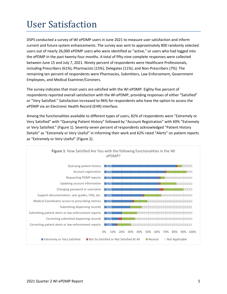## <span id="page-4-0"></span>User Satisfaction

DSPS conducted a survey of WI ePDMP users in June 2021 to measure user satisfaction and inform current and future system enhancements. The survey was sent to approximately 800 randomly selected users out of nearly 26,000 ePDMP users who were identified as "active," or users who had logged into the ePDMP in the past twenty-four months. A total of fifty-nine complete responses were collected between June 15 and July 7, 2021. Ninety percent of respondents were Healthcare Professionals, including Prescribers (61%), Pharmacists (15%), Delegates (11%), and Non-Prescribers (7%). The remaining ten percent of respondents were Pharmacies, Submitters, Law Enforcement, Government Employees, and Medical Examiner/Coroners.

The survey indicates that most users are satisfied with the WI ePDMP. Eighty-five percent of respondents reported overall satisfaction with the WI ePDMP, providing responses of either "Satisfied" or "Very Satisfied." Satisfaction increased to 96% for respondents who have the option to access the ePDMP via an Electronic Health Record (EHR) interface.

Among the functionalities available to different types of users, 82% of respondents were "Extremely or Very Satisfied" with "Querying Patient History" followed by "Account Registration" with 69% "Extremely or Very Satisfied." (Figure 1). Seventy-seven percent of respondents acknowledged "Patient History Details" as "Extremely or Very Useful" in informing their work and 62% rated "Alerts" on patient reports as "Extremely or Very Useful" (Figure 2).

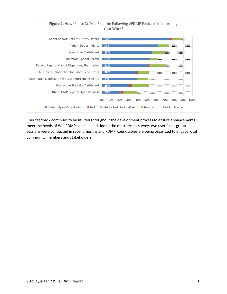

User feedback continues to be utilized throughout the development process to ensure enhancements meet the needs of WI ePDMP users. In addition to the most recent survey, two user focus group sessions were conducted in recent months and PDMP Roundtables are being organized to engage local community members and stakeholders.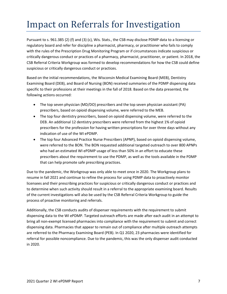## <span id="page-6-0"></span>Impact on Referrals for Investigation

Pursuant to s. 961.385 (2) (f) and (3) (c), Wis. Stats., the CSB may disclose PDMP data to a licensing or regulatory board and refer for discipline a pharmacist, pharmacy, or practitioner who fails to comply with the rules of the Prescription Drug Monitoring Program or if circumstances indicate suspicious or critically dangerous conduct or practices of a pharmacy, pharmacist, practitioner, or patient. In 2018, the CSB Referral Criteria Workgroup was formed to develop recommendations for how the CSB could define suspicious or critically dangerous conduct or practices.

Based on the initial recommendations, the Wisconsin Medical Examining Board (MEB), Dentistry Examining Board (DEB), and Board of Nursing (BON) received summaries of the PDMP dispensing data specific to their professions at their meetings in the fall of 2018. Based on the data presented, the following actions occurred:

- The top seven physician (MD/DO) prescribers and the top seven physician assistant (PA) prescribers, based on opioid dispensing volume, were referred to the MEB.
- The top four dentistry prescribers, based on opioid dispensing volume, were referred to the DEB. An additional 12 dentistry prescribers were referred from the highest 1% of opioid prescribers for the profession for having written prescriptions for over three days without any indication of use of the WI ePDMP.
- The top four Advanced Practice Nurse Prescribers (APNP), based on opioid dispensing volume, were referred to the BON. The BON requested additional targeted outreach to over 800 APNPs who had an estimated WI ePDMP usage of less than 50% in an effort to educate these prescribers about the requirement to use the PDMP, as well as the tools available in the PDMP that can help promote safe prescribing practices.

Due to the pandemic, the Workgroup was only able to meet once in 2020. The Workgroup plans to resume in fall 2021 and continue to refine the process for using PDMP data to proactively monitor licensees and their prescribing practices for suspicious or critically dangerous conduct or practices and to determine when such activity should result in a referral to the appropriate examining board. Results of the current investigations will also be used by the CSB Referral Criteria Workgroup to guide the process of proactive monitoring and referrals.

Additionally, the CSB conducts audits of dispenser requirements with the requirement to submit dispensing data to the WI ePDMP. Targeted outreach efforts are made after each audit in an attempt to bring all non-exempt licensed pharmacies into compliance with the requirement to submit and correct dispensing data. Pharmacies that appear to remain out of compliance after multiple outreach attempts are referred to the Pharmacy Examining Board (PEB). In Q1 2020, 23 pharmacies were identified for referral for possible noncompliance. Due to the pandemic, this was the only dispenser audit conducted in 2020.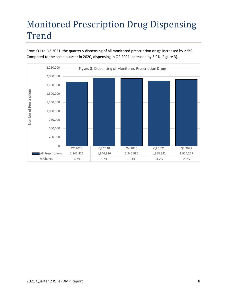#### <span id="page-7-0"></span>Monitored Prescription Drug Dispensing Trend

From Q1 to Q2 2021, the quarterly dispensing of all monitored prescription drugs increased by 2.5%. Compared to the same quarter in 2020, dispensing in Q2 2021 increased by 3.9% (Figure 3).

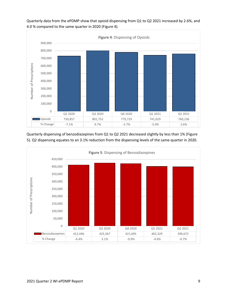

Quarterly data from the ePDMP show that opioid dispensing from Q1 to Q2 2021 increased by 2.6%, and 4.0 % compared to the same quarter in 2020 (Figure 4).

Quarterly dispensing of benzodiazepines from Q1 to Q2 2021 decreased slightly by less than 1% (Figure 5). Q2 dispensing equates to an 3.1% reduction from the dispensing levels of the same quarter in 2020.

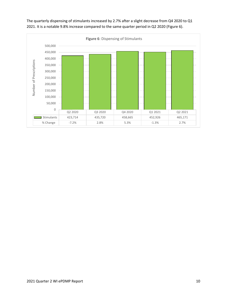

The quarterly dispensing of stimulants increased by 2.7% after a slight decrease from Q4 2020 to Q1 2021. It is a notable 9.8% increase compared to the same quarter period in Q2 2020 (Figure 6).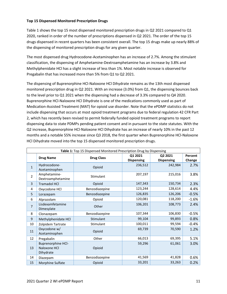#### **Top 15 Dispensed Monitored Prescription Drugs**

Table 1 shows the top 15 most dispensed monitored prescription drugs in Q2 2021 compared to Q1 2020, ranked in order of the number of prescriptions dispensed in Q2 2021. The order of the top 15 drugs dispensed in recent quarters has been consistent overall. The top 15 drugs make up nearly 88% of the dispensing of monitored prescription drugs for any given quarter.

The most dispensed drug Hydrocodone-Acetaminophen has an increase of 2.7%. Among the stimulant classification, the dispensing of Amphetamine-Dextroamphetamine has an increase by 3.8% and Methylphenidate HCl has a slight increase of less than 1%. Most notable increase is observed for Pregabalin that has increased more than 5% from Q1 to Q2 2021.

The dispensing of Buprenorphine HCl-Naloxone HCl Dihydrate remains as the 13th most dispensed monitored prescription drug in Q2 2021. With an increase (3.0%) from Q1, the dispensing bounces back to the level prior to Q1 2021 when the dispensing had a decrease of 3.3% compared to Q4 2020. Buprenorphine HCl-Naloxone HCl Dihydrate is one of the medications commonly used as part of Medication-Assisted Treatment (MAT) for opioid use disorder. Note that the ePDMP statistics do not include dispensing that occurs at most opioid treatment programs due to federal regulation 42 CFR Part 2, which has recently been revised to permit federally funded opioid treatment programs to report dispensing data to state PDMPs pending patient consent and in pursuant to the state statutes. With the Q2 increase, Buprenorphine HCl-Naloxone HCl Dihydrate has an increase of nearly 10% in the past 12 months and a notable 55% increase since Q3 2018, the first quarter when Buprenorphine HCl-Naloxone HCl Dihydrate moved into the top 15 dispensed monitored prescription drugs.

| Table 1: Top 15 Dispensed Monitored Prescription Drug by Dispensing |                                                        |                   |                              |                              |                   |  |  |  |
|---------------------------------------------------------------------|--------------------------------------------------------|-------------------|------------------------------|------------------------------|-------------------|--|--|--|
|                                                                     | <b>Drug Name</b>                                       | <b>Drug Class</b> | Q1 2021<br><b>Dispensing</b> | Q2 2021<br><b>Dispensing</b> | Percent<br>Change |  |  |  |
| $\mathbf{1}$                                                        | Hydrocodone-<br>Acetaminophen                          | Opioid            | 236,512                      | 242,984                      | 2.7%              |  |  |  |
| $\overline{2}$                                                      | Amphetamine-<br>Dextroamphetamine                      | Stimulant         | 207,197                      | 215,016                      | 3.8%              |  |  |  |
| 3                                                                   | <b>Tramadol HCl</b>                                    | Opioid            | 147,343                      | 150,734                      | 2.3%              |  |  |  |
| 4                                                                   | Oxycodone HCl                                          | Benzodiazepine    | 123,244                      | 128,614                      | 4.4%              |  |  |  |
| 5                                                                   | Lorazepam                                              | Benzodiazepine    | 126,835                      | 126,206                      | $-0.5%$           |  |  |  |
| 6                                                                   | Alprazolam                                             | Opioid            | 120,081                      | 118,200                      | $-1.6%$           |  |  |  |
| $\overline{7}$                                                      | Lisdexamfetamine<br>Dimesylate                         | Other             | 106,201                      | 108,773                      | 2.4%              |  |  |  |
| 8                                                                   | Clonazepam                                             | Benzodiazepine    | 107,344                      | 106,830                      | $-0.5%$           |  |  |  |
| 9                                                                   | Methylphenidate HCl                                    | Stimulant         | 99,104                       | 99,893                       | 0.8%              |  |  |  |
| 10                                                                  | Zolpidem Tartrate                                      | Stimulant         | 100,011                      | 99,594                       | $-0.4%$           |  |  |  |
| 11                                                                  | Oxycodone w/<br>Acetaminophen                          | Opioid            | 69,739                       | 70,590                       | 1.2%              |  |  |  |
| 12                                                                  | Pregabalin                                             | Other             | 66,013                       | 69,395                       | 5.1%              |  |  |  |
| 13                                                                  | <b>Buprenorphine HCl-</b><br>Naloxone HCl<br>Dihydrate | Opioid            | 59,296                       | 61,061                       | 3.0%              |  |  |  |
| 14                                                                  | Diazepam                                               | Benzodiazepine    | 41,569                       | 41,828                       | 0.6%              |  |  |  |
| 15                                                                  | Morphine Sulfate                                       | Opioid            | 33,201                       | 33,263                       | 0.2%              |  |  |  |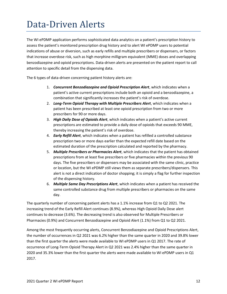### <span id="page-11-0"></span>Data-Driven Alerts

The WI ePDMP application performs sophisticated data analytics on a patient's prescription history to assess the patient's monitored prescription drug history and to alert WI ePDMP users to potential indications of abuse or diversion, such as early refills and multiple prescribers or dispensers, or factors that increase overdose risk, such as high morphine milligram equivalent (MME) doses and overlapping benzodiazepine and opioid prescriptions. Data-driven alerts are presented on the patient report to call attention to specific detail from the dispensing data.

The 6 types of data-driven concerning patient history alerts are:

- 1. *Concurrent Benzodiazepine and Opioid Prescription Alert*, which indicates when a patient's active current prescriptions include both an opioid and a benzodiazepine, a combination that significantly increases the patient's risk of overdose.
- 2. *Long-Term Opioid Therapy with Multiple Prescribers Alert*, which indicates when a patient has been prescribed at least one opioid prescription from two or more prescribers for 90 or more days.
- 3. *High Daily Dose of Opioids Alert*, which indicates when a patient's active current prescriptions are estimated to provide a daily dose of opioids that exceeds 90 MME, thereby increasing the patient's risk of overdose.
- 4. *Early Refill Alert*, which indicates when a patient has refilled a controlled substance prescription two or more days earlier than the expected refill date based on the estimated duration of the prescription calculated and reported by the pharmacy.
- 5. *Multiple Prescribers or Pharmacies Alert*, which indicates that the patient has obtained prescriptions from at least five prescribers or five pharmacies within the previous 90 days. The five prescribers or dispensers may be associated with the same clinic, practice or location, but the WI ePDMP still views them as separate prescribers/dispensers. This alert is not a direct indication of doctor shopping; it is simply a flag for further inspection of the dispensing history.
- 6. *Multiple Same Day Prescriptions Alert*, which indicates when a patient has received the same controlled substance drug from multiple prescribers or pharmacies on the same day.

The quarterly number of concerning patient alerts has a 1.1% increase from Q1 to Q2 2021. The increasing trend of the Early Refill Alert continues (8.9%), whereas High Opioid Daily Dose alert continues to decrease (3.6%). The decreasing trend is also observed for Multiple Prescribers or Pharmacies (0.9%) and Concurrent Benzodiazepine and Opioid Alert (1.1%) from Q1 to Q2 2021.

Among the most frequently occurring alerts, Concurrent Benzodiazepine and Opioid Prescriptions Alert, the number of occurrences in Q2 2021 was 6.2% higher than the same quarter in 2020 and 39.8% lower than the first quarter the alerts were made available to WI ePDMP users in Q1 2017. The rate of occurrence of Long-Term Opioid Therapy Alert in Q2 2021 was 2.4% higher than the same quarter in 2020 and 35.3% lower than the first quarter the alerts were made available to WI ePDMP users in Q1 2017.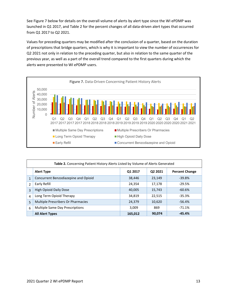See Figure 7 below for details on the overall volume of alerts by alert type since the WI ePDMP was launched in Q1 2017, and Table 2 for the percent changes of all data-driven alert types that occurred from Q1 2017 to Q2 2021.

Values for preceding quarters may be modified after the conclusion of a quarter, based on the duration of prescriptions that bridge quarters, which is why it is important to view the number of occurrences for Q2 2021 not only in relation to the preceding quarter, but also in relation to the same quarter of the previous year, as well as a part of the overall trend compared to the first quarters during which the alerts were presented to WI ePDMP users.



| Table 2. Concerning Patient History Alerts Listed by Volume of Alerts Generated |                                      |         |         |                       |  |  |  |
|---------------------------------------------------------------------------------|--------------------------------------|---------|---------|-----------------------|--|--|--|
|                                                                                 | <b>Alert Type</b>                    | Q1 2017 | Q2 2021 | <b>Percent Change</b> |  |  |  |
| $\mathbf{1}$                                                                    | Concurrent Benzodiazepine and Opioid | 38,446  | 23,149  | $-39.8%$              |  |  |  |
| $\mathfrak{p}$                                                                  | Early Refill                         | 24,354  | 17,178  | $-29.5%$              |  |  |  |
| 3                                                                               | <b>High Opioid Daily Dose</b>        | 40,005  | 15,743  | $-60.6%$              |  |  |  |
| 4                                                                               | Long Term Opioid Therapy             | 34,819  | 22,515  | $-35.3%$              |  |  |  |
| 5                                                                               | Multiple Prescribers Or Pharmacies   | 24,379  | 10,620  | $-56.4%$              |  |  |  |
| 6                                                                               | Multiple Same Day Prescriptions      | 3,009   | 869     | $-71.1%$              |  |  |  |
|                                                                                 | <b>All Alert Types</b>               | 165,012 | 90,074  | $-45.4%$              |  |  |  |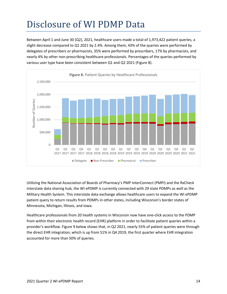## <span id="page-13-0"></span>Disclosure of WI PDMP Data

Between April 1 and June 30 (Q2), 2021, healthcare users made a total of 1,973,422 patient queries, a slight decrease compared to Q1 2021 by 2.4%. Among them, 43% of the queries were performed by delegates of prescribers or pharmacists, 35% were performed by prescribers, 17% by pharmacists, and nearly 4% by other non-prescribing healthcare professionals. Percentages of the queries performed by various user type have been consistent between Q1 and Q2 2021 (Figure 8).



Utilizing the National Association of Boards of Pharmacy's PMP InterConnect (PMPi) and the RxCheck interstate data sharing hub, the WI ePDMP is currently connected with 29 state PDMPs as well as the Military Health System. This interstate data exchange allows healthcare users to expand the WI ePDMP patient query to return results from PDMPs in other states, including Wisconsin's border states of Minnesota, Michigan, Illinois, and Iowa.

Healthcare professionals from 20 health systems in Wisconsin now have one-click access to the PDMP from within their electronic health record (EHR) platform in order to facilitate patient queries within a provider's workflow. Figure 9 below shows that, in Q2 2021, nearly 55% of patient queries were through the direct EHR integration, which is up from 51% in Q4 2019, the first quarter where EHR integration accounted for more than 50% of queries.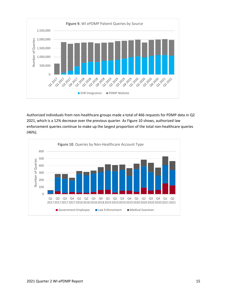

Authorized individuals from non-healthcare groups made a total of 466 requests for PDMP data in Q2 2021, which is a 12% decrease over the previous quarter. As Figure 10 shows, authorized law enforcement queries continue to make up the largest proportion of the total non-healthcare queries (46%).

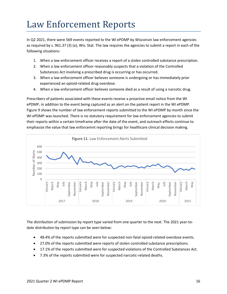#### <span id="page-15-0"></span>Law Enforcement Reports

In Q2 2021, there were 569 events reported to the WI ePDMP by Wisconsin law enforcement agencies as required by s. [961.37 \(3\) \(a\),](https://docs.legis.wisconsin.gov/document/statutes/961.37(3)(a)) Wis. Stat. The law requires the agencies to submit a report in each of the following situations:

- 1. When a law enforcement officer receives a report of a stolen controlled substance prescription.
- 2. When a law enforcement officer reasonably suspects that a violation of the Controlled Substances Act involving a prescribed drug is occurring or has occurred.
- 3. When a law enforcement officer believes someone is undergoing or has immediately prior experienced an opioid-related drug overdose.
- 4. When a law enforcement officer believes someone died as a result of using a narcotic drug.

Prescribers of patients associated with these events receive a proactive email notice from the WI ePDMP, in addition to the event being captured as an alert on the patient report in the WI ePDMP. Figure 9 shows the number of law enforcement reports submitted to the WI ePDMP by month since the WI ePDMP was launched. There is no statutory requirement for law enforcement agencies to submit their reports within a certain timeframe after the date of the event, and outreach efforts continue to emphasize the value that law enforcemnt reporting brings for healthcare clinical decision making.



The distribution of submission by report type varied from one quarter to the next. The 2021 year-todate distribution by report type can be seen below:

- 48.4% of the reports submitted were for suspected non-fatal opioid-related overdose events.
- 27.0% of the reports submitted were reports of stolen controlled substance prescriptions.
- 17.1% of the reports submitted were for suspected violations of the Controlled Substances Act.
- 7.3% of the reports submitted were for suspected narcotic-related deaths.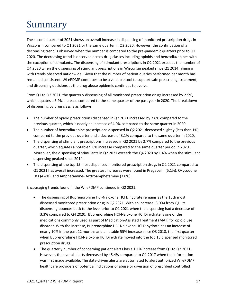## <span id="page-16-0"></span>Summary

The second quarter of 2021 shows an overall increase in dispensing of monitored prescription drugs in Wisconsin compared to Q1 2021 or the same quarter in Q2 2020. However, the continuation of a decreasing trend is observed when the number is compared to the pre-pandemic quarters prior to Q2 2020. The decreasing trend is observed across drug classes including opioids and benzodiazepines with the exception of stimulants. The dispensing of stimulant prescriptions in Q2 2021 exceeds the number of Q4 2020 when the dispensing of stimulant prescriptions in Wisconsin peaked since Q1 2014, aligning with trends observed nationwide. Given that the number of patient queries performed per month has remained consistent, WI ePDMP continues to be a valuable tool to support safe prescribing, treatment, and dispensing decisions as the drug abuse epidemic continues to evolve.

From Q1 to Q2 2021, the quarterly dispensing of all monitored prescription drugs increased by 2.5%, which equates a 3.9% increase compared to the same quarter of the past year in 2020. The breakdown of dispensing by drug class is as follows:

- The number of opioid prescriptions dispensed in Q2 2021 increased by 2.6% compared to the previous quarter, which is nearly an increase of 4.0% compared to the same quarter in 2020.
- The number of benzodiazepine prescriptions dispensed in Q2 2021 decreased slightly (less than 1%) compared to the previous quarter and a decrease of 3.1% compared to the same quarter in 2020.
- The dispensing of stimulant prescriptions increased in Q2 2021 by 2.7% compared to the previous quarter, which equates a notable 9.8% increase compared to the same quarter period in 2020. Moreover, the dispensing of stimulants in Q2 2021 exceeds the Q4 2020 by 1.4% when the stimulant dispensing peaked since 2014.
- The dispensing of the top 15 most dispensed monitored prescription drugs in Q2 2021 compared to Q1 2021 has overall increased. The greatest increases were found in Pregabalin (5.1%), Oxycodone HCI (4.4%), and Amphetamine-Dextroamphetamine (3.8%).

Encouraging trends found in the WI ePDMP continued in Q2 2021.

- The dispensing of Buprenorphine HCl-Naloxone HCl Dihydrate remains as the 13th most dispensed monitored prescription drug in Q2 2021. With an increase (3.0%) from Q1, its dispensing bounces back to the level prior to Q1 2021 when the dispensing had a decrease of 3.3% compared to Q4 2020. Buprenorphine HCl-Naloxone HCl Dihydrate is one of the medications commonly used as part of Medication-Assisted Treatment (MAT) for opioid use disorder. With the increase, Buprenorphine HCl-Naloxone HCl Dihydrate has an increase of nearly 10% in the past 12 months and a notable 55% increase since Q3 2018, the first quarter when Buprenorphine HCl-Naloxone HCl Dihydrate moved into the top 15 dispensed monitored prescription drugs.
- The quarterly number of concerning patient alerts has a 1.1% increase from Q1 to Q2 2021. However, the overall alerts decreased by 45.4% compared to Q1 2017 when the information was first made available. The data-driven alerts are automated to alert authorized WI ePDMP healthcare providers of potential indications of abuse or diversion of prescribed controlled